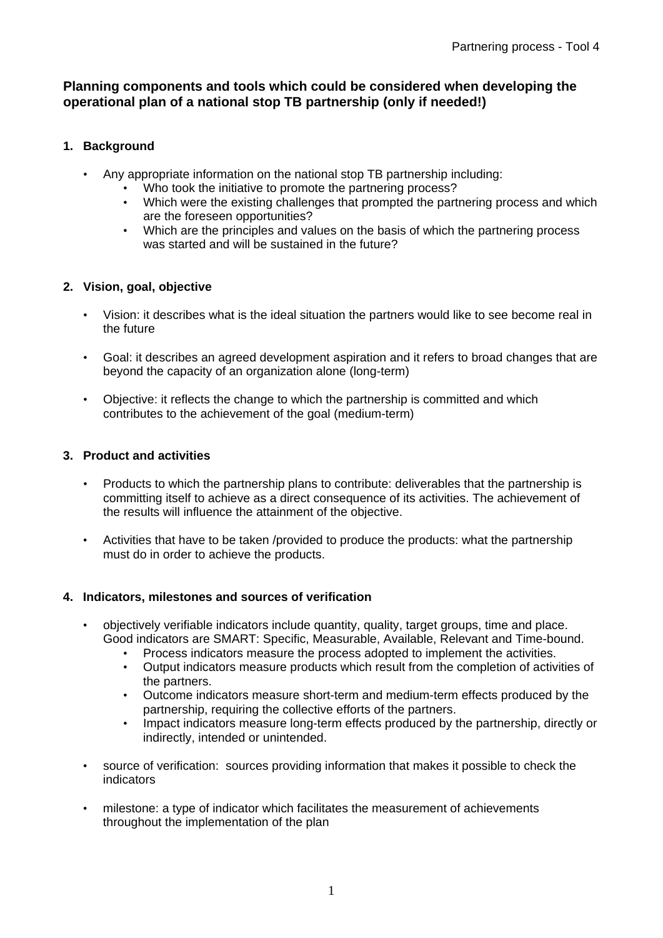## **Planning components and tools which could be considered when developing the operational plan of a national stop TB partnership (only if needed!)**

## **1. Background**

- Any appropriate information on the national stop TB partnership including:
	- Who took the initiative to promote the partnering process?
	- Which were the existing challenges that prompted the partnering process and which are the foreseen opportunities?
	- Which are the principles and values on the basis of which the partnering process was started and will be sustained in the future?

# **2. Vision, goal, objective**

- Vision: it describes what is the ideal situation the partners would like to see become real in the future
- Goal: it describes an agreed development aspiration and it refers to broad changes that are beyond the capacity of an organization alone (long-term)
- Objective: it reflects the change to which the partnership is committed and which contributes to the achievement of the goal (medium-term)

# **3. Product and activities**

- Products to which the partnership plans to contribute: deliverables that the partnership is committing itself to achieve as a direct consequence of its activities. The achievement of the results will influence the attainment of the objective.
- Activities that have to be taken /provided to produce the products: what the partnership must do in order to achieve the products.

### **4. Indicators, milestones and sources of verification**

- objectively verifiable indicators include quantity, quality, target groups, time and place. Good indicators are SMART: Specific, Measurable, Available, Relevant and Time-bound.
	- Process indicators measure the process adopted to implement the activities.
	- Output indicators measure products which result from the completion of activities of the partners.
	- Outcome indicators measure short-term and medium-term effects produced by the partnership, requiring the collective efforts of the partners.
	- Impact indicators measure long-term effects produced by the partnership, directly or indirectly, intended or unintended.
- source of verification: sources providing information that makes it possible to check the indicators
- milestone: a type of indicator which facilitates the measurement of achievements throughout the implementation of the plan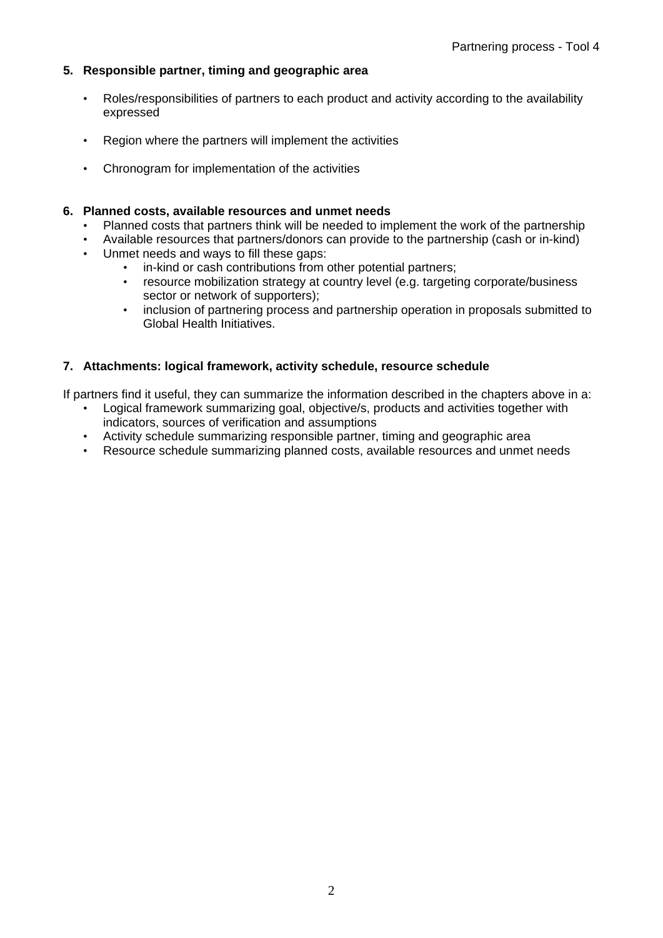## **5. Responsible partner, timing and geographic area**

- Roles/responsibilities of partners to each product and activity according to the availability expressed
- Region where the partners will implement the activities
- Chronogram for implementation of the activities

#### **6. Planned costs, available resources and unmet needs**

- Planned costs that partners think will be needed to implement the work of the partnership
- Available resources that partners/donors can provide to the partnership (cash or in-kind)
- Unmet needs and ways to fill these gaps:
	- in-kind or cash contributions from other potential partners;
	- resource mobilization strategy at country level (e.g. targeting corporate/business sector or network of supporters);
	- inclusion of partnering process and partnership operation in proposals submitted to Global Health Initiatives.

# **7. Attachments: logical framework, activity schedule, resource schedule**

If partners find it useful, they can summarize the information described in the chapters above in a:

- Logical framework summarizing goal, objective/s, products and activities together with indicators, sources of verification and assumptions
- Activity schedule summarizing responsible partner, timing and geographic area
- Resource schedule summarizing planned costs, available resources and unmet needs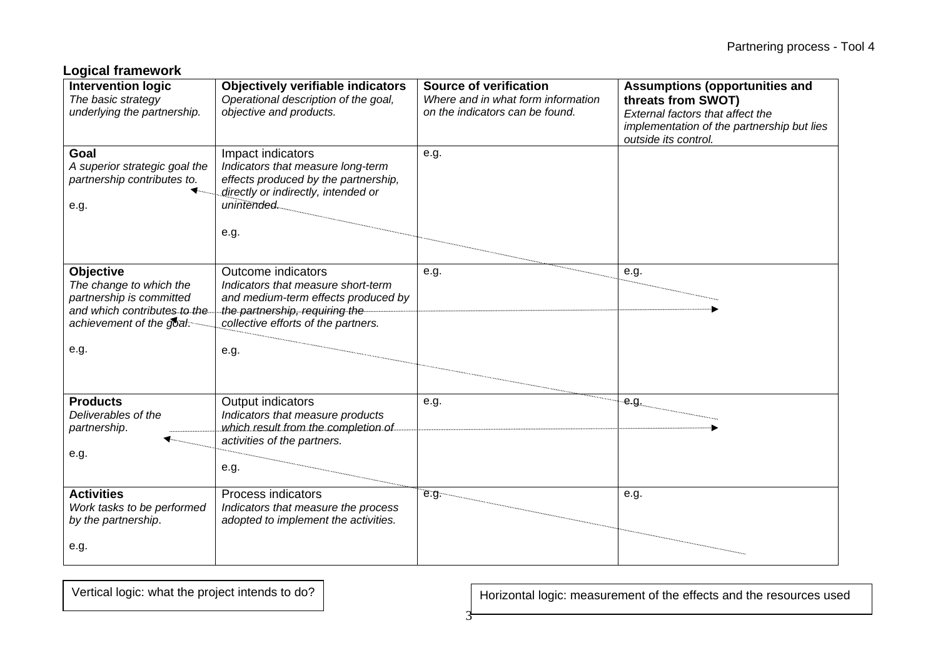|  |  | <b>Logical framework</b> |
|--|--|--------------------------|
|--|--|--------------------------|

| <b>Intervention logic</b><br>The basic strategy<br>underlying the partnership.                                                              | <b>Objectively verifiable indicators</b><br>Operational description of the goal,<br>objective and products.                                                                      | Source of verification<br>Where and in what form information<br>on the indicators can be found. | <b>Assumptions (opportunities and</b><br>threats from SWOT)<br>External factors that affect the<br>implementation of the partnership but lies<br>outside its control. |
|---------------------------------------------------------------------------------------------------------------------------------------------|----------------------------------------------------------------------------------------------------------------------------------------------------------------------------------|-------------------------------------------------------------------------------------------------|-----------------------------------------------------------------------------------------------------------------------------------------------------------------------|
| Goal<br>A superior strategic goal the<br>partnership contributes to.<br>e.g.                                                                | Impact indicators<br>Indicators that measure long-term<br>effects produced by the partnership,<br>directly or indirectly, intended or<br>unintended.<br>e.g.                     | e.g.                                                                                            |                                                                                                                                                                       |
| <b>Objective</b><br>The change to which the<br>partnership is committed<br>and which contributes to the<br>achievement of the goal:<br>e.g. | Outcome indicators<br>Indicators that measure short-term<br>and medium-term effects produced by<br>the partnership, requiring the<br>collective efforts of the partners.<br>e.g. | e.g.                                                                                            | e.g.                                                                                                                                                                  |
| <b>Products</b><br>Deliverables of the<br>partnership.<br>e.g.                                                                              | Output indicators<br>Indicators that measure products<br>which result from the completion of<br>activities of the partners.<br>e.g.                                              | e.g.                                                                                            | e.g.                                                                                                                                                                  |
| <b>Activities</b><br>Work tasks to be performed<br>by the partnership.<br>e.g.                                                              | Process indicators<br>Indicators that measure the process<br>adopted to implement the activities.                                                                                | e.g.                                                                                            | e.g.                                                                                                                                                                  |

3

Vertical logic: what the project intends to do? | Morizontal logic: measurement of the effects and the resources used